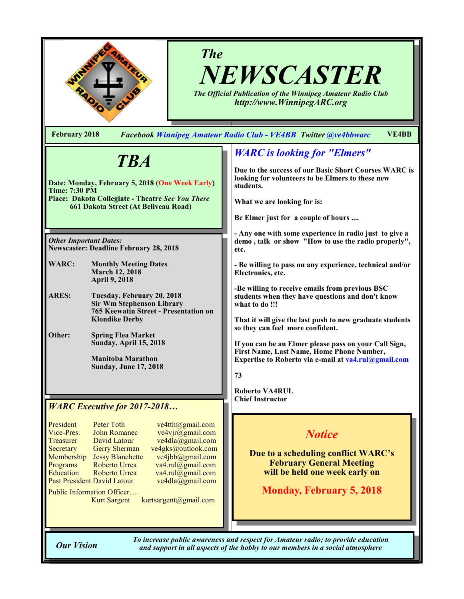

# *The NEWSCASTER*

*The Official Publication of the Winnipeg Amateur Radio Club http://www.WinnipegARC.org*

**February 2018** *Facebook Winnipeg Amateur Radio Club - VE4BB Twitter @ve4bbwarc* **VE4BB**

# *TBA*

**Date: Monday, February 5, 2018 (One Week Early) Time: 7:30 PM Place: Dakota Collegiate - Theatre** *See You There* **661 Dakota Street (At Beliveau Road)**

*Other Important Dates:* **Newscaster: Deadline February 28, 2018**

- **WARC: Monthly Meeting Dates March 12, 2018 April 9, 2018**
- **ARES: Tuesday, February 20, 2018 Sir Wm Stephenson Library 765 Keewatin Street - Presentation on Klondike Derby**
- **Other: Spring Flea Market Sunday, April 15, 2018**

**Manitoba Marathon Sunday, June 17, 2018**

#### *WARC Executive for 2017-2018…*

| President                   | Peter Toth              |
|-----------------------------|-------------------------|
| Vice-Pres.                  | <b>John Romanec</b>     |
| Treasurer                   | David Latour            |
| Secretary                   | <b>Gerry Sherman</b>    |
| Membership                  | <b>Jessy Blanchette</b> |
| Programs                    | Roberto Urrea           |
| <b>Education</b>            | Roberto Urrea           |
| Past President David Latour |                         |
|                             |                         |

 $ve4th$  ( $Qg$ mail.com  $ve4$ vjr $\overline{\omega}$ gmail.com  $ve4dla@gmail.com$ ve4gks@outlook.com  $ve4jbb@g$ gmail.com  $va4.rul@gmail.com$  $va4. \text{rul}(\omega)$ gmail.com  $ve4dla$ @gmail.com

Public Information Officer….

Kurt Sargent kurtsargent@gmail.com

## *WARC is looking for "Elmers"*

**Due to the success of our Basic Short Courses WARC is looking for volunteers to be Elmers to these new students.** 

**What we are looking for is:**

**Be Elmer just for a couple of hours ....**

**- Any one with some experience in radio just to give a demo , talk or show "How to use the radio properly", etc.**

**- Be willing to pass on any experience, technical and/or Electronics, etc.**

**-Be willing to receive emails from previous BSC students when they have questions and don't know what to do !!!**

**That it will give the last push to new graduate students so they can feel more confident.**

**If you can be an Elmer please pass on your Call Sign, First Name, Last Name, Home Phone Number, Expertise to Roberto via e-mail at va4.rul@gmail.com**

**73**

**Roberto VA4RUL Chief Instructor**

## *Notice*

**Due to a scheduling conflict WARC's February General Meeting will be held one week early on** 

**Monday, February 5, 2018**

*To increase public awareness and respect for Amateur radio; to provide education Our Vision and support in all aspects of the hobby to our members in a social atmosphere*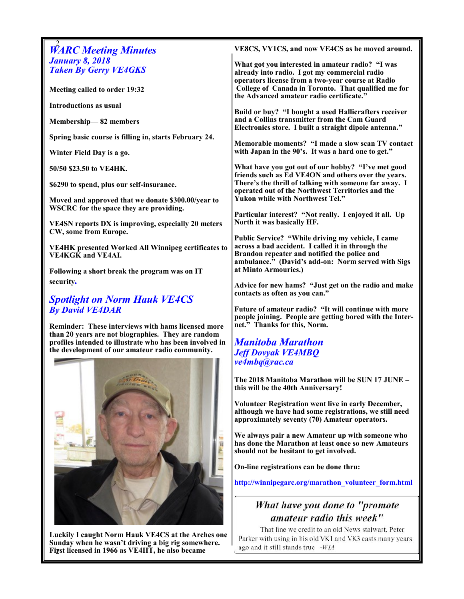| <b>WARC Meeting Minutes</b>                                | VE8CS, VY1CS, and now VE4CS as he moved around.                                                           |  |
|------------------------------------------------------------|-----------------------------------------------------------------------------------------------------------|--|
| <b>January 8, 2018</b>                                     | What got you interested in amateur radio? "I was                                                          |  |
| <b>Taken By Gerry VE4GKS</b>                               | already into radio. I got my commercial radio                                                             |  |
|                                                            | operators license from a two-year course at Radio                                                         |  |
| Meeting called to order 19:32                              | College of Canada in Toronto. That qualified me for                                                       |  |
|                                                            | the Advanced amateur radio certificate."                                                                  |  |
| <b>Introductions as usual</b>                              | Build or buy? "I bought a used Hallicrafters receiver                                                     |  |
| Membership-82 members                                      | and a Collins transmitter from the Cam Guard                                                              |  |
|                                                            | Electronics store. I built a straight dipole antenna."                                                    |  |
| Spring basic course is filling in, starts February 24.     |                                                                                                           |  |
|                                                            | Memorable moments? "I made a slow scan TV contact                                                         |  |
| Winter Field Day is a go.                                  | with Japan in the 90's. It was a hard one to get."                                                        |  |
|                                                            |                                                                                                           |  |
| 50/50 \$23.50 to VE4HK.                                    | What have you got out of our hobby? "I've met good<br>friends such as Ed VE4ON and others over the years. |  |
| \$6290 to spend, plus our self-insurance.                  | There's the thrill of talking with someone far away. I                                                    |  |
|                                                            | operated out of the Northwest Territories and the                                                         |  |
| Moved and approved that we donate \$300.00/year to         | <b>Yukon while with Northwest Tel."</b>                                                                   |  |
| WSCRC for the space they are providing.                    |                                                                                                           |  |
|                                                            | Particular interest? "Not really. I enjoyed it all. Up                                                    |  |
| <b>VE4SN</b> reports DX is improving, especially 20 meters | North it was basically HF.                                                                                |  |
| CW, some from Europe.                                      | Public Service? "While driving my vehicle, I came                                                         |  |
| <b>VE4HK</b> presented Worked All Winnipeg certificates to | across a bad accident. I called it in through the                                                         |  |
| <b>VE4KGK</b> and VE4AI.                                   | Brandon repeater and notified the police and                                                              |  |
|                                                            | ambulance." (David's add-on: Norm served with Sigs                                                        |  |
| Following a short break the program was on IT              | at Minto Armouries.)                                                                                      |  |
| security.                                                  |                                                                                                           |  |
|                                                            | Advice for new hams? "Just get on the radio and make<br>contacts as often as you can."                    |  |
| <b>Spotlight on Norm Hauk VE4CS</b>                        |                                                                                                           |  |
| <b>By David VE4DAR</b>                                     | Future of amateur radio? "It will continue with more                                                      |  |
|                                                            | people joining. People are getting bored with the Inter-                                                  |  |
| Reminder: These interviews with hams licensed more         | net." Thanks for this, Norm.                                                                              |  |
| than 20 years are not biographies. They are random         |                                                                                                           |  |
| profiles intended to illustrate who has been involved in   | <b>Manitoba Marathon</b>                                                                                  |  |
| the development of our amateur radio community.            | <b>Jeff Dovyak VE4MBQ</b>                                                                                 |  |
|                                                            | ve4mbq@rac.ca                                                                                             |  |
|                                                            |                                                                                                           |  |
|                                                            | The 2018 Manitoba Marathon will be SUN 17 JUNE -                                                          |  |
|                                                            | this will be the 40th Anniversary!                                                                        |  |

id.

**Volunteer Registration went live in early December, although we have had some registrations, we still need approximately seventy (70) Amateur operators.** 

**We always pair a new Amateur up with someone who has done the Marathon at least once so new Amateurs should not be hesitant to get involved.** 

**On-line registrations can be done thru:**

**http://winnipegarc.org/marathon\_volunteer\_form.html** 

## What have you done to "promote amateur radio this week"

That line we credit to an old News stalwart, Peter Parker with using in his old VK1 and VK3 casts many years ago and it still stands true -WIA

Figst licensed in 1966 as VE4HT, he also became **Luckily I caught Norm Hauk VE4CS at the Arches one Sunday when he wasn't driving a big rig somewhere.**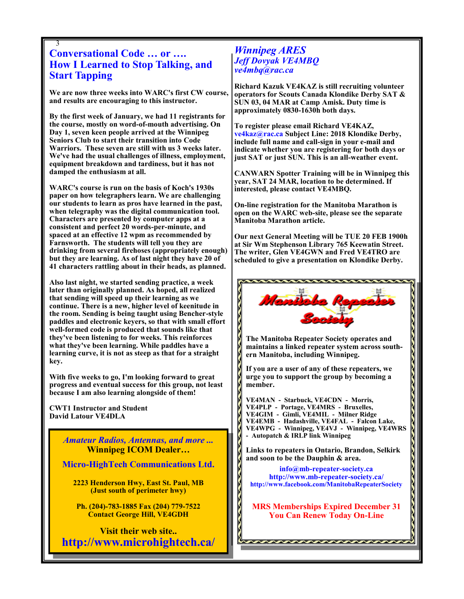#### 3 **Conversational Code … or …. How I Learned to Stop Talking, and Start Tapping**

**We are now three weeks into WARC's first CW course, and results are encouraging to this instructor.**

**By the first week of January, we had 11 registrants for the course, mostly on word-of-mouth advertising. On Day 1, seven keen people arrived at the Winnipeg Seniors Club to start their transition into Code Warriors. These seven are still with us 3 weeks later. We've had the usual challenges of illness, employment, equipment breakdown and tardiness, but it has not damped the enthusiasm at all.**

**WARC's course is run on the basis of Koch's 1930s paper on how telegraphers learn. We are challenging our students to learn as pros have learned in the past, when telegraphy was the digital communication tool. Characters are presented by computer apps at a consistent and perfect 20 words-per-minute, and spaced at an effective 12 wpm as recommended by Farnsworth. The students will tell you they are drinking from several firehoses (appropriately enough) but they are learning. As of last night they have 20 of 41 characters rattling about in their heads, as planned.**

**Also last night, we started sending practice, a week later than originally planned. As hoped, all realized that sending will speed up their learning as we continue. There is a new, higher level of keenitude in the room. Sending is being taught using Bencher-style paddles and electronic keyers, so that with small effort well-formed code is produced that sounds like that they've been listening to for weeks. This reinforces what they've been learning. While paddles have a learning curve, it is not as steep as that for a straight key.**

**With five weeks to go, I'm looking forward to great progress and eventual success for this group, not least because I am also learning alongside of them!**

**CWT1 Instructor and Student David Latour VE4DLA**

3

*Amateur Radios, Antennas, and more ...*  **Winnipeg ICOM Dealer…**

**Micro-HighTech Communications Ltd.**

**2223 Henderson Hwy, East St. Paul, MB (Just south of perimeter hwy)**

**Ph. (204)-783-1885 Fax (204) 779-7522 Contact George Hill, VE4GDH**

**Visit their web site.. http://www.microhightech.ca/**

#### *Winnipeg ARES Jeff Dovyak VE4MBQ ve4mbq@rac.ca*

**Richard Kazuk VE4KAZ is still recruiting volunteer operators for Scouts Canada Klondike Derby SAT & SUN 03, 04 MAR at Camp Amisk. Duty time is approximately 0830-1630h both days.** 

**To register please email Richard VE4KAZ, ve4kaz@rac.ca Subject Line: 2018 Klondike Derby, include full name and call-sign in your e-mail and indicate whether you are registering for both days or just SAT or just SUN. This is an all-weather event.**

**CANWARN Spotter Training will be in Winnipeg this year, SAT 24 MAR, location to be determined. If interested, please contact VE4MBQ.**

**On-line registration for the Manitoba Marathon is open on the WARC web-site, please see the separate Manitoba Marathon article.**

**Our next General Meeting will be TUE 20 FEB 1900h at Sir Wm Stephenson Library 765 Keewatin Street. The writer, Glen VE4GWN and Fred VE4TRO are scheduled to give a presentation on Klondike Derby.**



**The Manitoba Repeater Society operates and maintains a linked repeater system across southern Manitoba, including Winnipeg.**

**If you are a user of any of these repeaters, we urge you to support the group by becoming a member.**

**VE4MAN - Starbuck, VE4CDN - Morris, VE4PLP - Portage, VE4MRS - Bruxelles, VE4GIM - Gimli, VE4MIL - Milner Ridge VE4EMB - Hadashville, VE4FAL - Falcon Lake, VE4WPG - Winnipeg, VE4VJ - Winnipeg, VE4WRS - Autopatch & IRLP link Winnipeg**

**Links to repeaters in Ontario, Brandon, Selkirk and soon to be the Dauphin & area.**

**info@mb-repeater-society.ca http://www.mb-repeater-society.ca/ http://www.facebook.com/ManitobaRepeaterSociety**

**MRS Memberships Expired December 31 You Can Renew Today On-Line**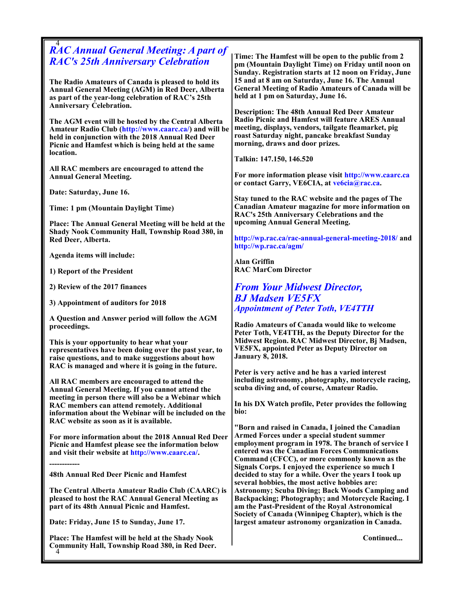| <b>RAC Annual General Meeting: A part of</b>                                                            |                                                                                                           |
|---------------------------------------------------------------------------------------------------------|-----------------------------------------------------------------------------------------------------------|
|                                                                                                         | Time: The Hamfest will be open to the public from 2                                                       |
| <b>RAC's 25th Anniversary Celebration</b>                                                               | pm (Mountain Daylight Time) on Friday until noon on                                                       |
|                                                                                                         | Sunday. Registration starts at 12 noon on Friday, June                                                    |
| The Radio Amateurs of Canada is pleased to hold its                                                     | 15 and at 8 am on Saturday, June 16. The Annual                                                           |
| Annual General Meeting (AGM) in Red Deer, Alberta                                                       | <b>General Meeting of Radio Amateurs of Canada will be</b>                                                |
| as part of the year-long celebration of RAC's 25th                                                      | held at 1 pm on Saturday, June 16.                                                                        |
| <b>Anniversary Celebration.</b>                                                                         |                                                                                                           |
|                                                                                                         | <b>Description: The 48th Annual Red Deer Amateur</b><br>Radio Picnic and Hamfest will feature ARES Annual |
| The AGM event will be hosted by the Central Alberta                                                     | meeting, displays, vendors, tailgate fleamarket, pig                                                      |
| Amateur Radio Club (http://www.caarc.ca/) and will be                                                   | roast Saturday night, pancake breakfast Sunday                                                            |
| held in conjunction with the 2018 Annual Red Deer<br>Picnic and Hamfest which is being held at the same | morning, draws and door prizes.                                                                           |
| location.                                                                                               |                                                                                                           |
|                                                                                                         | Talkin: 147.150, 146.520                                                                                  |
| All RAC members are encouraged to attend the                                                            |                                                                                                           |
| <b>Annual General Meeting.</b>                                                                          | For more information please visit http://www.caarc.ca                                                     |
|                                                                                                         | or contact Garry, VE6CIA, at vebcia@rac.ca.                                                               |
| Date: Saturday, June 16.                                                                                |                                                                                                           |
|                                                                                                         | Stay tuned to the RAC website and the pages of The                                                        |
| Time: 1 pm (Mountain Daylight Time)                                                                     | Canadian Amateur magazine for more information on                                                         |
|                                                                                                         | RAC's 25th Anniversary Celebrations and the                                                               |
| Place: The Annual General Meeting will be held at the                                                   | upcoming Annual General Meeting.                                                                          |
| <b>Shady Nook Community Hall, Township Road 380, in</b>                                                 | http://wp.rac.ca/rac-annual-general-meeting-2018/ and                                                     |
| Red Deer, Alberta.                                                                                      | http://wp.rac.ca/agm/                                                                                     |
| Agenda items will include:                                                                              |                                                                                                           |
|                                                                                                         | <b>Alan Griffin</b>                                                                                       |
| 1) Report of the President                                                                              | <b>RAC MarCom Director</b>                                                                                |
|                                                                                                         |                                                                                                           |
| 2) Review of the 2017 finances                                                                          | <b>From Your Midwest Director,</b>                                                                        |
|                                                                                                         | <b>BJ Madsen VE5FX</b>                                                                                    |
| 3) Appointment of auditors for 2018                                                                     | <b>Appointment of Peter Toth, VE4TTH</b>                                                                  |
|                                                                                                         |                                                                                                           |
| A Question and Answer period will follow the AGM<br>proceedings.                                        | Radio Amateurs of Canada would like to welcome                                                            |
|                                                                                                         | Peter Toth, VE4TTH, as the Deputy Director for the                                                        |
| This is your opportunity to hear what your                                                              | Midwest Region. RAC Midwest Director, Bj Madsen,                                                          |
| representatives have been doing over the past year, to                                                  | <b>VE5FX, appointed Peter as Deputy Director on</b>                                                       |
| raise questions, and to make suggestions about how                                                      | <b>January 8, 2018.</b>                                                                                   |
| RAC is managed and where it is going in the future.                                                     |                                                                                                           |
|                                                                                                         | Peter is very active and he has a varied interest                                                         |
| All RAC members are encouraged to attend the                                                            | including astronomy, photography, motorcycle racing,                                                      |
| Annual General Meeting. If you cannot attend the                                                        | scuba diving and, of course, Amateur Radio.                                                               |
| meeting in person there will also be a Webinar which                                                    | In his DX Watch profile, Peter provides the following                                                     |
| RAC members can attend remotely. Additional<br>information about the Webinar will be included on the    | bio:                                                                                                      |
| RAC website as soon as it is available.                                                                 |                                                                                                           |
|                                                                                                         | "Born and raised in Canada, I joined the Canadian                                                         |
| For more information about the 2018 Annual Red Deer                                                     | Armed Forces under a special student summer                                                               |
| Picnic and Hamfest please see the information below                                                     | employment program in 1978. The branch of service I                                                       |
| and visit their website at http://www.caarc.ca/.                                                        | entered was the Canadian Forces Communications                                                            |
|                                                                                                         | Command (CFCC), or more commonly known as the                                                             |
|                                                                                                         | Signals Corps. I enjoyed the experience so much I                                                         |
| 48th Annual Red Deer Picnic and Hamfest                                                                 | decided to stay for a while. Over the years I took up                                                     |
| The Central Alberta Amateur Radio Club (CAARC) is                                                       | several hobbies, the most active hobbies are:<br><b>Astronomy; Scuba Diving; Back Woods Camping and</b>   |
| pleased to host the RAC Annual General Meeting as                                                       | <b>Backpacking; Photography; and Motorcycle Racing. I</b>                                                 |
| part of its 48th Annual Picnic and Hamfest.                                                             | am the Past-President of the Royal Astronomical                                                           |
|                                                                                                         | Society of Canada (Winnipeg Chapter), which is the                                                        |
| Date: Friday, June 15 to Sunday, June 17.                                                               | largest amateur astronomy organization in Canada.                                                         |
|                                                                                                         |                                                                                                           |
| Place: The Hamfest will be held at the Shady Nook                                                       | Continued                                                                                                 |
| Community Hall, Township Road 380, in Red Deer.                                                         |                                                                                                           |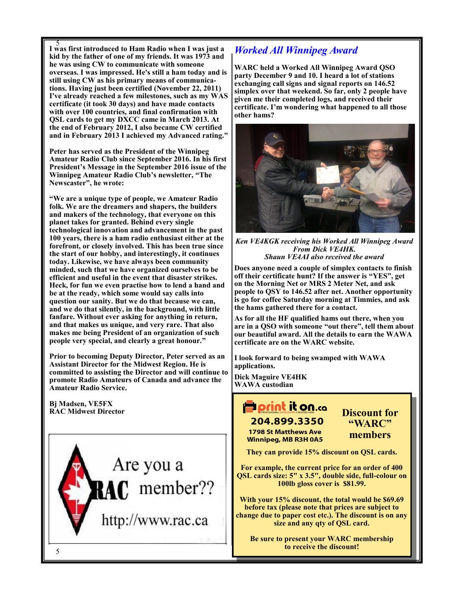5 **I was first introduced to Ham Radio when I was just a kid by the father of one of my friends. It was 1973 and he was using CW to communicate with someone overseas. I was impressed. He's still a ham today and is still using CW as his primary means of communications. Having just been certified (November 22, 2011) I've already reached a few milestones, such as my WAS certificate (it took 30 days) and have made contacts with over 100 countries, and final confirmation with QSL cards to get my DXCC came in March 2013. At the end of February 2012, I also became CW certified and in February 2013 I achieved my Advanced rating."**

**Peter has served as the President of the Winnipeg Amateur Radio Club since September 2016. In his first President's Message in the September 2016 issue of the Winnipeg Amateur Radio Club's newsletter, "The Newscaster", he wrote:**

**"We are a unique type of people, we Amateur Radio folk. We are the dreamers and shapers, the builders and makers of the technology, that everyone on this planet takes for granted. Behind every single technological innovation and advancement in the past 100 years, there is a ham radio enthusiast either at the forefront, or closely involved. This has been true since the start of our hobby, and interestingly, it continues today. Likewise, we have always been community minded, such that we have organized ourselves to be efficient and useful in the event that disaster strikes. Heck, for fun we even practise how to lend a hand and be at the ready, which some would say calls into question our sanity. But we do that because we can, and we do that silently, in the background, with little fanfare. Without ever asking for anything in return, and that makes us unique, and very rare. That also makes me being President of an organization of such people very special, and clearly a great honour."**

**Prior to becoming Deputy Director, Peter served as an Assistant Director for the Midwest Region. He is committed to assisting the Director and will continue to promote Radio Amateurs of Canada and advance the Amateur Radio Service.**

**Bj Madsen, VE5FX RAC Midwest Director**



### *Worked All Winnipeg Award*

**WARC held a Worked All Winnipeg Award QSO party December 9 and 10. I heard a lot of stations exchanging call signs and signal reports on 146.52 simplex over that weekend. So far, only 2 people have given me their completed logs, and received their certificate. I'm wondering what happened to all those other hams?** 



*Ken VE4KGK receiving his Worked All Winnipeg Award From Dick VE4HK. Shaun VE4AI also received the award*

**Does anyone need a couple of simplex contacts to finish off their certificate hunt? If the answer is "YES", get on the Morning Net or MRS 2 Meter Net, and ask people to QSY to 146.52 after net. Another opportunity is go for coffee Saturday morning at Timmies, and ask the hams gathered there for a contact.** 

**As for all the HF qualified hams out there, when you are in a QSO with someone "out there", tell them about our beautiful award. All the details to earn the WAWA certificate are on the WARC website.** 

**I look forward to being swamped with WAWA applications.**

**Dick Maguire VE4HK WAWA custodian**

## **Porint it on.co** 204.899.3350

**1798 St Matthews Ave Winnipeg, MB R3H 0A5**  **Discount for "WARC" members**

**They can provide 15% discount on QSL cards.**

**For example, the current price for an order of 400 QSL cards size: 5" x 3.5", double side, full-colour on 100lb gloss cover is \$81.99.** 

**With your 15% discount, the total would be \$69.69 before tax (please note that prices are subject to change due to paper cost etc.). The discount is on any size and any qty of QSL card.**

**Be sure to present your WARC membership to receive the discount!**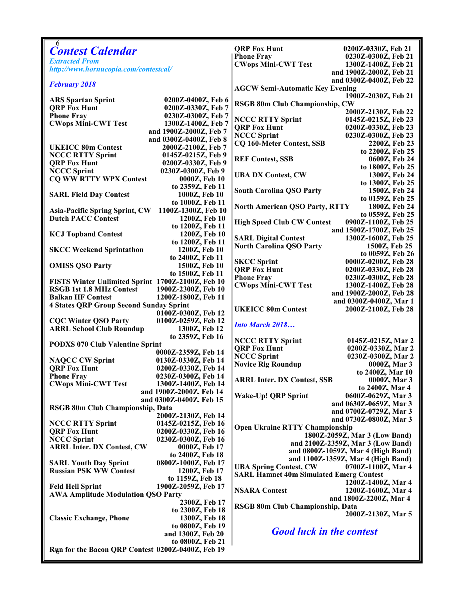| 6                                                 |                                      |                                                |                                            |
|---------------------------------------------------|--------------------------------------|------------------------------------------------|--------------------------------------------|
| <b>Contest Calendar</b>                           |                                      | <b>QRP Fox Hunt</b><br><b>Phone Fray</b>       | 0200Z-0330Z, Feb 21<br>0230Z-0300Z, Feb 21 |
| <b>Extracted From</b>                             |                                      | <b>CWops Mini-CWT Test</b>                     | 1300Z-1400Z, Feb 21                        |
| http://www.hornucopia.com/contestcal/             |                                      |                                                | and 1900Z-2000Z, Feb 21                    |
|                                                   |                                      |                                                | and 0300Z-0400Z, Feb 22                    |
| <b>February 2018</b>                              |                                      | <b>AGCW Semi-Automatic Key Evening</b>         |                                            |
|                                                   |                                      |                                                | 1900Z-2030Z, Feb 21                        |
| <b>ARS</b> Spartan Sprint                         | 0200Z-0400Z, Feb 6                   | <b>RSGB 80m Club Championship, CW</b>          |                                            |
| <b>QRP Fox Hunt</b>                               | 0200Z-0330Z, Feb 7                   |                                                | 2000Z-2130Z, Feb 22                        |
| <b>Phone Fray</b>                                 | 0230Z-0300Z, Feb 7                   | <b>NCCC RTTY Sprint</b>                        | 0145Z-0215Z, Feb 23                        |
| <b>CWops Mini-CWT Test</b>                        | 1300Z-1400Z, Feb 7                   | <b>ORP Fox Hunt</b>                            | 0200Z-0330Z, Feb 23                        |
|                                                   | and 1900Z-2000Z, Feb 7               | <b>NCCC Sprint</b>                             | 0230Z-0300Z, Feb 23                        |
|                                                   | and 0300Z-0400Z, Feb 8               | <b>CQ 160-Meter Contest, SSB</b>               | 2200Z, Feb 23                              |
| <b>UKEICC 80m Contest</b>                         | 2000Z-2100Z, Feb 7                   |                                                | to 2200Z, Feb 25                           |
| <b>NCCC RTTY Sprint</b>                           | 0145Z-0215Z, Feb 9                   | <b>REF Contest, SSB</b>                        | 0600Z, Feb 24                              |
| <b>QRP Fox Hunt</b>                               | 0200Z-0330Z, Feb 9                   |                                                | to 1800Z, Feb 25                           |
| <b>NCCC Sprint</b>                                | 0230Z-0300Z, Feb 9                   | <b>UBA DX Contest, CW</b>                      | 1300Z, Feb 24                              |
| <b>CQ WW RTTY WPX Contest</b>                     | 0000Z, Feb 10                        |                                                | to 1300Z, Feb 25                           |
|                                                   | to 2359Z, Feb 11                     | <b>South Carolina QSO Party</b>                | 1500Z, Feb 24                              |
| <b>SARL Field Day Contest</b>                     | 1000Z, Feb 10                        |                                                | to 0159Z, Feb 25                           |
|                                                   | to 1000Z, Feb 11                     | <b>North American QSO Party, RTTY</b>          | 1800Z, Feb 24                              |
| <b>Asia-Pacific Spring Sprint, CW</b>             | 1100Z-1300Z, Feb 10                  |                                                | to 0559Z, Feb 25                           |
| <b>Dutch PACC Contest</b>                         | 1200Z, Feb 10                        | <b>High Speed Club CW Contest</b>              | 0900Z-1100Z, Feb 25                        |
|                                                   | to 1200Z, Feb 11                     |                                                | and 1500Z-1700Z, Feb 25                    |
| <b>KCJ Topband Contest</b>                        | 1200Z, Feb 10                        | <b>SARL Digital Contest</b>                    | 1300Z-1600Z, Feb 25                        |
| <b>SKCC Weekend Sprintathon</b>                   | to 1200Z, Feb 11<br>1200Z, Feb 10    | <b>North Carolina QSO Party</b>                | 1500Z, Feb 25                              |
|                                                   | to 2400Z, Feb 11                     |                                                | to 0059Z, Feb 26                           |
| <b>OMISS QSO Party</b>                            | 1500Z, Feb 10                        | <b>SKCC Sprint</b>                             | 0000Z-0200Z, Feb 28                        |
|                                                   | to 1500Z, Feb 11                     | <b>QRP Fox Hunt</b>                            | 0200Z-0330Z, Feb 28                        |
| FISTS Winter Unlimited Sprint 1700Z-2100Z, Feb 10 |                                      | <b>Phone Fray</b>                              | 0230Z-0300Z, Feb 28                        |
| <b>RSGB 1st 1.8 MHz Contest</b>                   | 1900Z-2300Z, Feb 10                  | <b>CWops Mini-CWT Test</b>                     | 1300Z-1400Z, Feb 28                        |
| <b>Balkan HF Contest</b>                          | 1200Z-1800Z, Feb 11                  |                                                | and 1900Z-2000Z, Feb 28                    |
| <b>4 States QRP Group Second Sunday Sprint</b>    |                                      |                                                | and 0300Z-0400Z, Mar 1                     |
|                                                   | 0100Z-0300Z, Feb 12                  | <b>UKEICC 80m Contest</b>                      | 2000Z-2100Z, Feb 28                        |
| <b>CQC Winter QSO Party</b>                       | 0100Z-0259Z, Feb 12                  |                                                |                                            |
| <b>ARRL School Club Roundup</b>                   | 1300Z, Feb 12                        | <b>Into March 2018</b>                         |                                            |
|                                                   | to 2359Z, Feb 16                     |                                                |                                            |
| <b>PODXS 070 Club Valentine Sprint</b>            |                                      | <b>NCCC RTTY Sprint</b><br><b>QRP Fox Hunt</b> | 0145Z-0215Z, Mar 2                         |
|                                                   | 0000Z-2359Z, Feb 14                  | <b>NCCC Sprint</b>                             | 0200Z-0330Z, Mar 2<br>0230Z-0300Z, Mar 2   |
| <b>NAQCC CW Sprint</b>                            | 0130Z-0330Z, Feb 14                  | <b>Novice Rig Roundup</b>                      | 0000Z, Mar 3                               |
| <b>QRP Fox Hunt</b>                               | 0200Z-0330Z, Feb 14                  |                                                | to 2400Z, Mar 10                           |
| <b>Phone Fray</b>                                 | 0230Z-0300Z, Feb 14                  | <b>ARRL Inter. DX Contest, SSB</b>             | 0000Z, Mar 3                               |
| <b>CWops Mini-CWT Test</b>                        | 1300Z-1400Z, Feb 14                  |                                                | to 2400Z, Mar 4                            |
|                                                   | and 1900Z-2000Z, Feb 14              | Wake-Up! QRP Sprint                            | 0600Z-0629Z, Mar 3                         |
|                                                   | and 0300Z-0400Z, Feb 15              |                                                | and 0630Z-0659Z, Mar 3                     |
| RSGB 80m Club Championship, Data                  |                                      |                                                | and 0700Z-0729Z, Mar 3                     |
|                                                   | 2000Z-2130Z, Feb 14                  |                                                | and 0730Z-0800Z, Mar 3                     |
| <b>NCCC RTTY Sprint</b>                           | 0145Z-0215Z, Feb 16                  | <b>Open Ukraine RTTY Championship</b>          |                                            |
| <b>QRP Fox Hunt</b>                               | 0200Z-0330Z, Feb 16                  |                                                | 1800Z-2059Z, Mar 3 (Low Band)              |
| <b>NCCC Sprint</b>                                | 0230Z-0300Z, Feb 16<br>0000Z, Feb 17 |                                                | and 2100Z-2359Z, Mar 3 (Low Band)          |
| <b>ARRL Inter. DX Contest, CW</b>                 | to 2400Z, Feb 18                     |                                                | and 0800Z-1059Z, Mar 4 (High Band)         |
| <b>SARL Youth Day Sprint</b>                      | 0800Z-1000Z, Feb 17                  |                                                | and 1100Z-1359Z, Mar 4 (High Band)         |
| <b>Russian PSK WW Contest</b>                     | 1200Z, Feb 17                        | <b>UBA Spring Contest, CW</b>                  | 0700Z-1100Z, Mar 4                         |
|                                                   | to 1159Z, Feb 18                     | <b>SARL Hamnet 40m Simulated Emerg Contest</b> |                                            |
| <b>Feld Hell Sprint</b>                           | 1900Z-2059Z, Feb 17                  |                                                | 1200Z-1400Z, Mar 4                         |
| <b>AWA Amplitude Modulation QSO Party</b>         |                                      | <b>NSARA Contest</b>                           | 1200Z-1600Z, Mar 4                         |
|                                                   | 2300Z, Feb 17                        |                                                | and 1800Z-2200Z, Mar 4                     |
|                                                   | to 2300Z, Feb 18                     | RSGB 80m Club Championship, Data               |                                            |
| <b>Classic Exchange, Phone</b>                    | 1300Z, Feb 18                        |                                                | 2000Z-2130Z, Mar 5                         |
|                                                   | to 0800Z, Feb 19                     |                                                |                                            |
|                                                   | and 1300Z, Feb 20                    | <b>Good luck in the contest</b>                |                                            |
|                                                   | to 0800Z, Feb 21                     |                                                |                                            |
| Run for the Bacon QRP Contest 0200Z-0400Z, Feb 19 |                                      |                                                |                                            |
|                                                   |                                      |                                                |                                            |